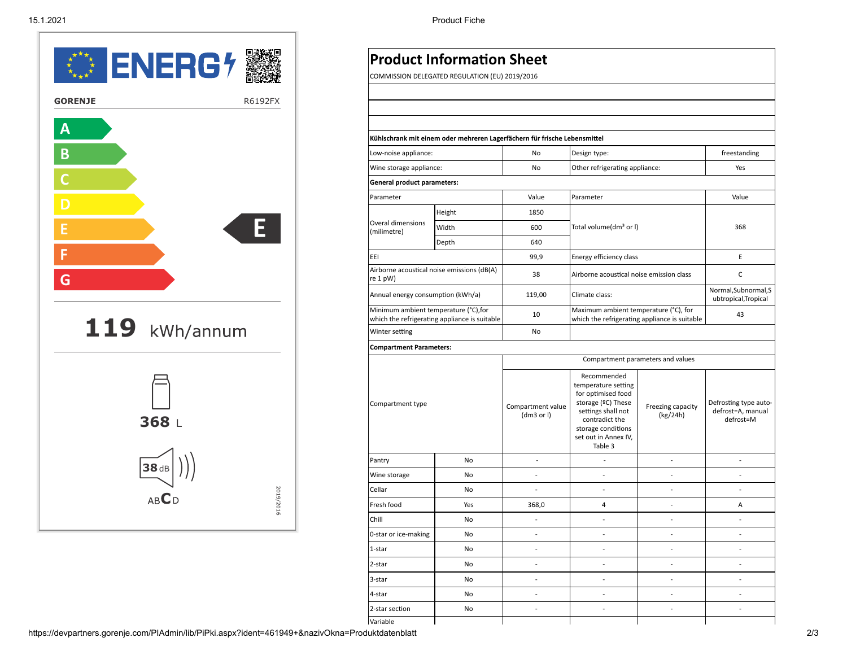

|           |                                                                                        | <b>Product Information Sheet</b>               |                                 |                                                                                                                                                                                 |                                   |                                                         |  |
|-----------|----------------------------------------------------------------------------------------|------------------------------------------------|---------------------------------|---------------------------------------------------------------------------------------------------------------------------------------------------------------------------------|-----------------------------------|---------------------------------------------------------|--|
|           |                                                                                        | COMMISSION DELEGATED REGULATION (EU) 2019/2016 |                                 |                                                                                                                                                                                 |                                   |                                                         |  |
|           |                                                                                        |                                                |                                 |                                                                                                                                                                                 |                                   |                                                         |  |
| R6192FX   |                                                                                        |                                                |                                 |                                                                                                                                                                                 |                                   |                                                         |  |
|           |                                                                                        |                                                |                                 |                                                                                                                                                                                 |                                   |                                                         |  |
|           | Kühlschrank mit einem oder mehreren Lagerfächern für frische Lebensmittel              |                                                |                                 |                                                                                                                                                                                 |                                   |                                                         |  |
|           | Low-noise appliance:                                                                   |                                                | No                              | Design type:                                                                                                                                                                    |                                   | freestanding                                            |  |
|           | Wine storage appliance:                                                                |                                                | No                              | Other refrigerating appliance:                                                                                                                                                  |                                   | Yes                                                     |  |
|           | General product parameters:                                                            |                                                |                                 |                                                                                                                                                                                 |                                   |                                                         |  |
|           | Parameter                                                                              |                                                | Value                           | Parameter                                                                                                                                                                       |                                   | Value                                                   |  |
|           | Overal dimensions<br>(milimetre)                                                       | Height                                         | 1850                            |                                                                                                                                                                                 |                                   |                                                         |  |
| E.        |                                                                                        | Width                                          | 600                             | Total volume(dm <sup>3</sup> or I)                                                                                                                                              |                                   | 368                                                     |  |
|           |                                                                                        | Depth                                          | 640                             |                                                                                                                                                                                 |                                   |                                                         |  |
| EEI       |                                                                                        |                                                | 99,9                            | Energy efficiency class                                                                                                                                                         |                                   | E                                                       |  |
|           | re 1 pW)                                                                               | Airborne acoustical noise emissions (dB(A)     | 38                              | Airborne acoustical noise emission class                                                                                                                                        |                                   | $\mathsf{C}$                                            |  |
|           | Annual energy consumption (kWh/a)                                                      |                                                | 119,00                          | Climate class:                                                                                                                                                                  |                                   | Normal, Subnormal, S<br>ubtropical, Tropical            |  |
|           | Minimum ambient temperature (°C), for<br>which the refrigerating appliance is suitable |                                                | 10                              | Maximum ambient temperature (°C), for<br>which the refrigerating appliance is suitable                                                                                          |                                   | 43                                                      |  |
|           | Winter setting                                                                         |                                                | No                              |                                                                                                                                                                                 |                                   |                                                         |  |
|           | <b>Compartment Parameters:</b>                                                         |                                                |                                 |                                                                                                                                                                                 |                                   |                                                         |  |
|           |                                                                                        |                                                |                                 |                                                                                                                                                                                 | Compartment parameters and values |                                                         |  |
|           | Compartment type                                                                       |                                                | Compartment value<br>(dm3 or l) | Recommended<br>temperature setting<br>for optimised food<br>storage (ºC) These<br>settings shall not<br>contradict the<br>storage conditions<br>set out in Annex IV,<br>Table 3 | Freezing capacity<br>(kg/24h)     | Defrosting type auto-<br>defrost=A, manual<br>defrost=M |  |
|           | Pantry                                                                                 | No                                             | $\sim$                          | $\sim$                                                                                                                                                                          | $\sim$                            | $\sim$                                                  |  |
|           | Wine storage                                                                           | No                                             | $\overline{\phantom{a}}$        | $\sim$                                                                                                                                                                          | $\sim$                            | $\sim$                                                  |  |
|           | Cellar                                                                                 | No                                             | $\overline{\phantom{a}}$        | $\overline{\phantom{a}}$                                                                                                                                                        | $\overline{\phantom{a}}$          | $\overline{\phantom{a}}$                                |  |
| 2019/2016 | Fresh food                                                                             | Yes                                            | 368,0                           | $\overline{4}$                                                                                                                                                                  | $\sim$                            | Α                                                       |  |
| Chill     |                                                                                        | No                                             | $\overline{\phantom{a}}$        | $\sim$                                                                                                                                                                          | $\sim$                            | $\sim$                                                  |  |
|           | 0-star or ice-making                                                                   | No                                             |                                 |                                                                                                                                                                                 |                                   |                                                         |  |
|           | 1-star                                                                                 | No                                             | $\sim$                          | $\sim$                                                                                                                                                                          | $\sim$                            | $\sim$                                                  |  |
|           | 2-star                                                                                 | No                                             | $\sim$                          | $\sim$                                                                                                                                                                          | $\sim$                            | $\sim$                                                  |  |
|           | 3-star                                                                                 | No                                             | $\overline{\phantom{a}}$        | $\overline{\phantom{a}}$                                                                                                                                                        | $\sim$                            | $\sim$                                                  |  |
|           | 4-star                                                                                 | No                                             | $\sim$                          | $\sim$                                                                                                                                                                          | $\sim$                            | $\sim$                                                  |  |
|           | 2-star section                                                                         | No                                             | $\overline{\phantom{a}}$        | $\sim$                                                                                                                                                                          | $\sim$                            | $\sim$                                                  |  |
|           | Variable                                                                               |                                                |                                 |                                                                                                                                                                                 |                                   |                                                         |  |